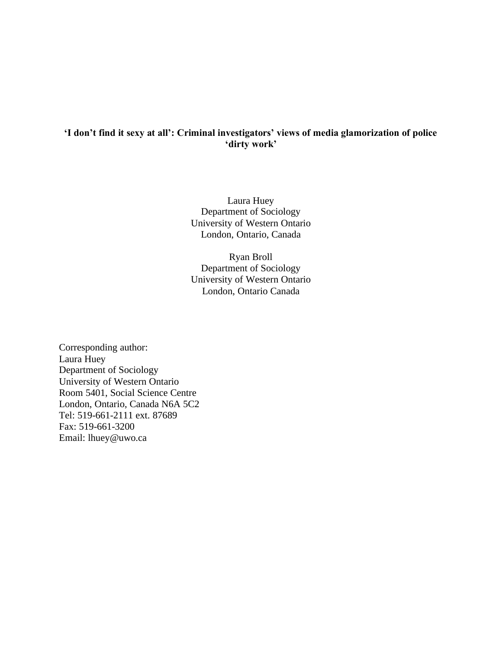# **'I don't find it sexy at all': Criminal investigators' views of media glamorization of police 'dirty work'**

Laura Huey Department of Sociology University of Western Ontario London, Ontario, Canada

Ryan Broll Department of Sociology University of Western Ontario London, Ontario Canada

Corresponding author: Laura Huey Department of Sociology University of Western Ontario Room 5401, Social Science Centre London, Ontario, Canada N6A 5C2 Tel: 519-661-2111 ext. 87689 Fax: 519-661-3200 Email: lhuey@uwo.ca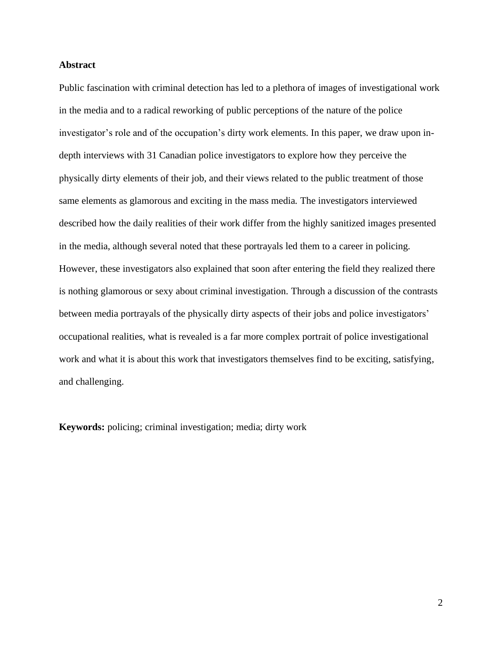## **Abstract**

Public fascination with criminal detection has led to a plethora of images of investigational work in the media and to a radical reworking of public perceptions of the nature of the police investigator's role and of the occupation's dirty work elements. In this paper, we draw upon indepth interviews with 31 Canadian police investigators to explore how they perceive the physically dirty elements of their job, and their views related to the public treatment of those same elements as glamorous and exciting in the mass media*.* The investigators interviewed described how the daily realities of their work differ from the highly sanitized images presented in the media, although several noted that these portrayals led them to a career in policing. However, these investigators also explained that soon after entering the field they realized there is nothing glamorous or sexy about criminal investigation. Through a discussion of the contrasts between media portrayals of the physically dirty aspects of their jobs and police investigators' occupational realities, what is revealed is a far more complex portrait of police investigational work and what it is about this work that investigators themselves find to be exciting, satisfying, and challenging.

**Keywords:** policing; criminal investigation; media; dirty work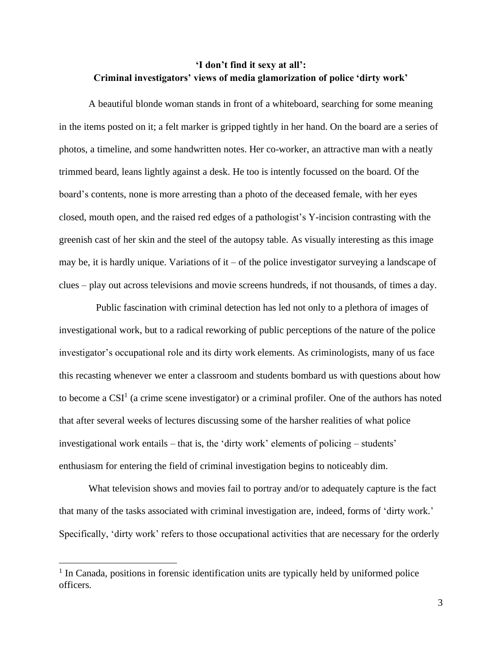# **'I don't find it sexy at all': Criminal investigators' views of media glamorization of police 'dirty work'**

A beautiful blonde woman stands in front of a whiteboard, searching for some meaning in the items posted on it; a felt marker is gripped tightly in her hand. On the board are a series of photos, a timeline, and some handwritten notes. Her co-worker, an attractive man with a neatly trimmed beard, leans lightly against a desk. He too is intently focussed on the board. Of the board's contents, none is more arresting than a photo of the deceased female, with her eyes closed, mouth open, and the raised red edges of a pathologist's Y-incision contrasting with the greenish cast of her skin and the steel of the autopsy table. As visually interesting as this image may be, it is hardly unique. Variations of it – of the police investigator surveying a landscape of clues – play out across televisions and movie screens hundreds, if not thousands, of times a day.

 Public fascination with criminal detection has led not only to a plethora of images of investigational work, but to a radical reworking of public perceptions of the nature of the police investigator's occupational role and its dirty work elements. As criminologists, many of us face this recasting whenever we enter a classroom and students bombard us with questions about how to become a  $CSI<sup>1</sup>$  (a crime scene investigator) or a criminal profiler. One of the authors has noted that after several weeks of lectures discussing some of the harsher realities of what police investigational work entails – that is, the 'dirty work' elements of policing – students' enthusiasm for entering the field of criminal investigation begins to noticeably dim.

What television shows and movies fail to portray and/or to adequately capture is the fact that many of the tasks associated with criminal investigation are, indeed, forms of 'dirty work.' Specifically, 'dirty work' refers to those occupational activities that are necessary for the orderly

<sup>&</sup>lt;sup>1</sup> In Canada, positions in forensic identification units are typically held by uniformed police officers.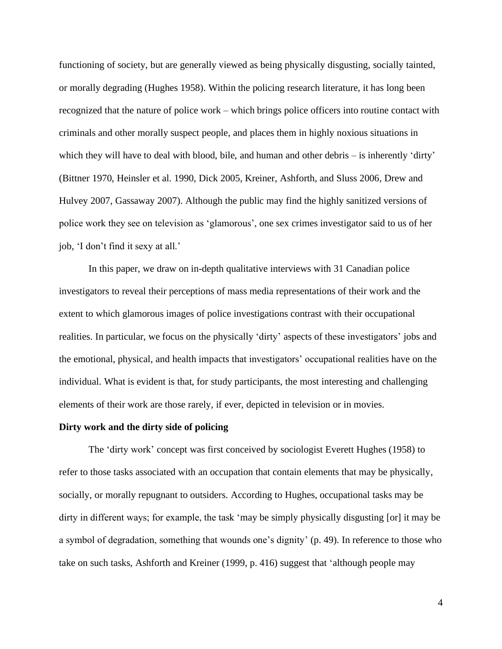functioning of society, but are generally viewed as being physically disgusting, socially tainted, or morally degrading (Hughes 1958). Within the policing research literature, it has long been recognized that the nature of police work – which brings police officers into routine contact with criminals and other morally suspect people, and places them in highly noxious situations in which they will have to deal with blood, bile, and human and other debris – is inherently 'dirty' (Bittner 1970, Heinsler et al. 1990, Dick 2005, Kreiner, Ashforth, and Sluss 2006, Drew and Hulvey 2007, Gassaway 2007). Although the public may find the highly sanitized versions of police work they see on television as 'glamorous', one sex crimes investigator said to us of her job, 'I don't find it sexy at all.'

In this paper, we draw on in-depth qualitative interviews with 31 Canadian police investigators to reveal their perceptions of mass media representations of their work and the extent to which glamorous images of police investigations contrast with their occupational realities. In particular, we focus on the physically 'dirty' aspects of these investigators' jobs and the emotional, physical, and health impacts that investigators' occupational realities have on the individual. What is evident is that, for study participants, the most interesting and challenging elements of their work are those rarely, if ever, depicted in television or in movies.

#### **Dirty work and the dirty side of policing**

The 'dirty work' concept was first conceived by sociologist Everett Hughes (1958) to refer to those tasks associated with an occupation that contain elements that may be physically, socially, or morally repugnant to outsiders. According to Hughes, occupational tasks may be dirty in different ways; for example, the task 'may be simply physically disgusting [or] it may be a symbol of degradation, something that wounds one's dignity' (p. 49). In reference to those who take on such tasks, Ashforth and Kreiner (1999, p. 416) suggest that 'although people may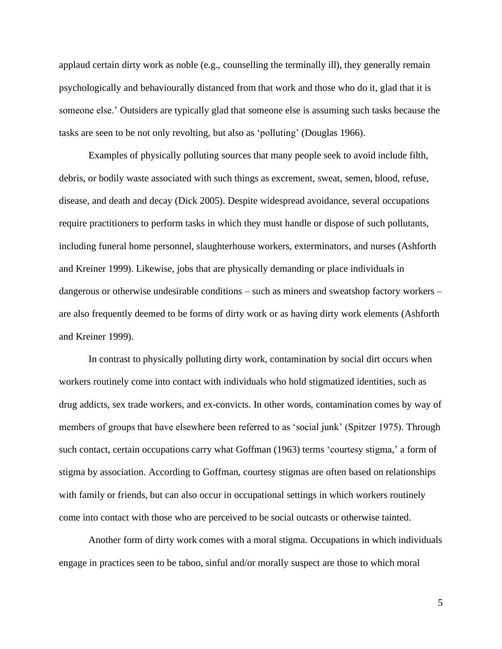applaud certain dirty work as noble (e.g., counselling the terminally ill), they generally remain psychologically and behaviourally distanced from that work and those who do it, glad that it is someone else.' Outsiders are typically glad that someone else is assuming such tasks because the tasks are seen to be not only revolting, but also as 'polluting' (Douglas 1966).

Examples of physically polluting sources that many people seek to avoid include filth, debris, or bodily waste associated with such things as excrement, sweat, semen, blood, refuse, disease, and death and decay (Dick 2005). Despite widespread avoidance, several occupations require practitioners to perform tasks in which they must handle or dispose of such pollutants, including funeral home personnel, slaughterhouse workers, exterminators, and nurses (Ashforth and Kreiner 1999). Likewise, jobs that are physically demanding or place individuals in dangerous or otherwise undesirable conditions – such as miners and sweatshop factory workers – are also frequently deemed to be forms of dirty work or as having dirty work elements (Ashforth and Kreiner 1999).

In contrast to physically polluting dirty work, contamination by social dirt occurs when workers routinely come into contact with individuals who hold stigmatized identities, such as drug addicts, sex trade workers, and ex-convicts. In other words, contamination comes by way of members of groups that have elsewhere been referred to as 'social junk' (Spitzer 1975). Through such contact, certain occupations carry what Goffman (1963) terms 'courtesy stigma,' a form of stigma by association. According to Goffman, courtesy stigmas are often based on relationships with family or friends, but can also occur in occupational settings in which workers routinely come into contact with those who are perceived to be social outcasts or otherwise tainted.

Another form of dirty work comes with a moral stigma. Occupations in which individuals engage in practices seen to be taboo, sinful and/or morally suspect are those to which moral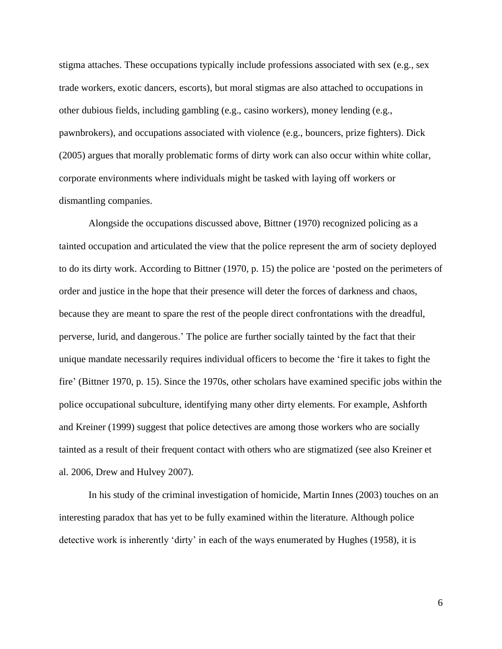stigma attaches. These occupations typically include professions associated with sex (e.g., sex trade workers, exotic dancers, escorts), but moral stigmas are also attached to occupations in other dubious fields, including gambling (e.g., casino workers), money lending (e.g., pawnbrokers), and occupations associated with violence (e.g., bouncers, prize fighters). Dick (2005) argues that morally problematic forms of dirty work can also occur within white collar, corporate environments where individuals might be tasked with laying off workers or dismantling companies.

Alongside the occupations discussed above, Bittner (1970) recognized policing as a tainted occupation and articulated the view that the police represent the arm of society deployed to do its dirty work. According to Bittner (1970, p. 15) the police are 'posted on the perimeters of order and justice in the hope that their presence will deter the forces of darkness and chaos, because they are meant to spare the rest of the people direct confrontations with the dreadful, perverse, lurid, and dangerous.' The police are further socially tainted by the fact that their unique mandate necessarily requires individual officers to become the 'fire it takes to fight the fire' (Bittner 1970, p. 15). Since the 1970s, other scholars have examined specific jobs within the police occupational subculture, identifying many other dirty elements. For example, Ashforth and Kreiner (1999) suggest that police detectives are among those workers who are socially tainted as a result of their frequent contact with others who are stigmatized (see also Kreiner et al. 2006, Drew and Hulvey 2007).

In his study of the criminal investigation of homicide, Martin Innes (2003) touches on an interesting paradox that has yet to be fully examined within the literature. Although police detective work is inherently 'dirty' in each of the ways enumerated by Hughes (1958), it is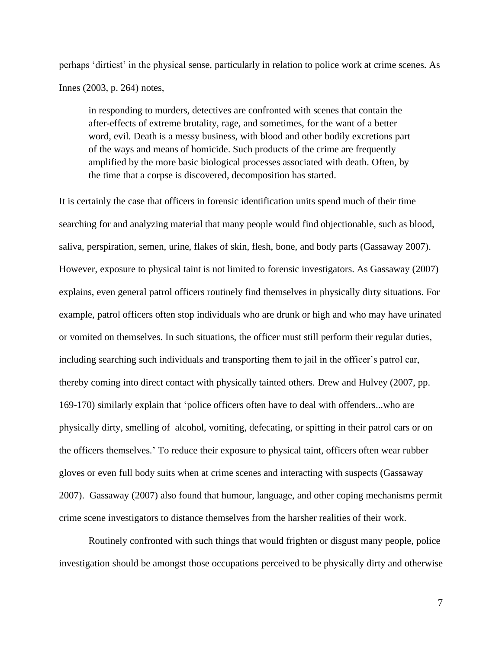perhaps 'dirtiest' in the physical sense, particularly in relation to police work at crime scenes. As Innes (2003, p. 264) notes,

in responding to murders, detectives are confronted with scenes that contain the after-effects of extreme brutality, rage, and sometimes, for the want of a better word, evil. Death is a messy business, with blood and other bodily excretions part of the ways and means of homicide. Such products of the crime are frequently amplified by the more basic biological processes associated with death. Often, by the time that a corpse is discovered, decomposition has started.

It is certainly the case that officers in forensic identification units spend much of their time searching for and analyzing material that many people would find objectionable, such as blood, saliva, perspiration, semen, urine, flakes of skin, flesh, bone, and body parts (Gassaway 2007). However, exposure to physical taint is not limited to forensic investigators. As Gassaway (2007) explains, even general patrol officers routinely find themselves in physically dirty situations. For example, patrol officers often stop individuals who are drunk or high and who may have urinated or vomited on themselves. In such situations, the officer must still perform their regular duties, including searching such individuals and transporting them to jail in the officer's patrol car, thereby coming into direct contact with physically tainted others. Drew and Hulvey (2007, pp. 169-170) similarly explain that 'police officers often have to deal with offenders...who are physically dirty, smelling of alcohol, vomiting, defecating, or spitting in their patrol cars or on the officers themselves.' To reduce their exposure to physical taint, officers often wear rubber gloves or even full body suits when at crime scenes and interacting with suspects (Gassaway 2007). Gassaway (2007) also found that humour, language, and other coping mechanisms permit crime scene investigators to distance themselves from the harsher realities of their work.

Routinely confronted with such things that would frighten or disgust many people, police investigation should be amongst those occupations perceived to be physically dirty and otherwise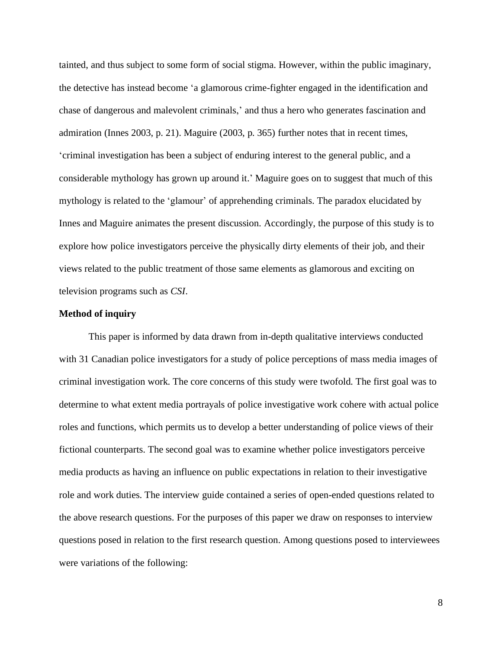tainted, and thus subject to some form of social stigma. However, within the public imaginary, the detective has instead become 'a glamorous crime-fighter engaged in the identification and chase of dangerous and malevolent criminals,' and thus a hero who generates fascination and admiration (Innes 2003, p. 21). Maguire (2003, p. 365) further notes that in recent times, 'criminal investigation has been a subject of enduring interest to the general public, and a considerable mythology has grown up around it.' Maguire goes on to suggest that much of this mythology is related to the 'glamour' of apprehending criminals. The paradox elucidated by Innes and Maguire animates the present discussion. Accordingly, the purpose of this study is to explore how police investigators perceive the physically dirty elements of their job, and their views related to the public treatment of those same elements as glamorous and exciting on television programs such as *CSI*.

## **Method of inquiry**

This paper is informed by data drawn from in-depth qualitative interviews conducted with 31 Canadian police investigators for a study of police perceptions of mass media images of criminal investigation work. The core concerns of this study were twofold. The first goal was to determine to what extent media portrayals of police investigative work cohere with actual police roles and functions, which permits us to develop a better understanding of police views of their fictional counterparts. The second goal was to examine whether police investigators perceive media products as having an influence on public expectations in relation to their investigative role and work duties. The interview guide contained a series of open-ended questions related to the above research questions. For the purposes of this paper we draw on responses to interview questions posed in relation to the first research question. Among questions posed to interviewees were variations of the following: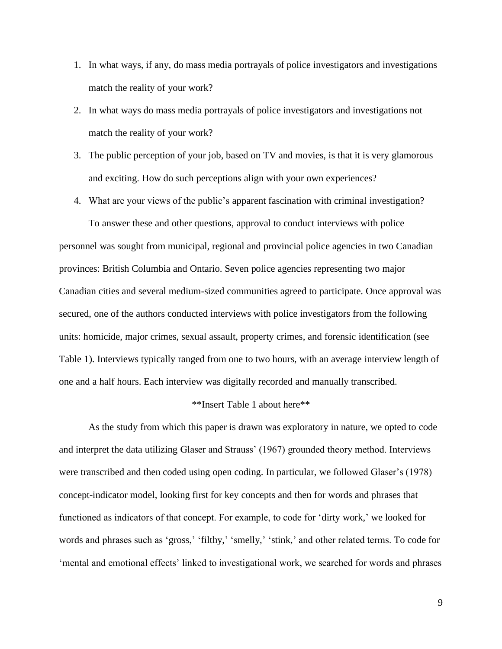- 1. In what ways, if any, do mass media portrayals of police investigators and investigations match the reality of your work?
- 2. In what ways do mass media portrayals of police investigators and investigations not match the reality of your work?
- 3. The public perception of your job, based on TV and movies, is that it is very glamorous and exciting. How do such perceptions align with your own experiences?
- 4. What are your views of the public's apparent fascination with criminal investigation?

To answer these and other questions, approval to conduct interviews with police personnel was sought from municipal, regional and provincial police agencies in two Canadian provinces: British Columbia and Ontario. Seven police agencies representing two major Canadian cities and several medium-sized communities agreed to participate. Once approval was secured, one of the authors conducted interviews with police investigators from the following units: homicide, major crimes, sexual assault, property crimes, and forensic identification (see Table 1). Interviews typically ranged from one to two hours, with an average interview length of one and a half hours. Each interview was digitally recorded and manually transcribed.

## \*\*Insert Table 1 about here\*\*

As the study from which this paper is drawn was exploratory in nature, we opted to code and interpret the data utilizing Glaser and Strauss' (1967) grounded theory method. Interviews were transcribed and then coded using open coding. In particular, we followed Glaser's (1978) concept-indicator model, looking first for key concepts and then for words and phrases that functioned as indicators of that concept. For example, to code for 'dirty work,' we looked for words and phrases such as 'gross,' 'filthy,' 'smelly,' 'stink,' and other related terms. To code for 'mental and emotional effects' linked to investigational work, we searched for words and phrases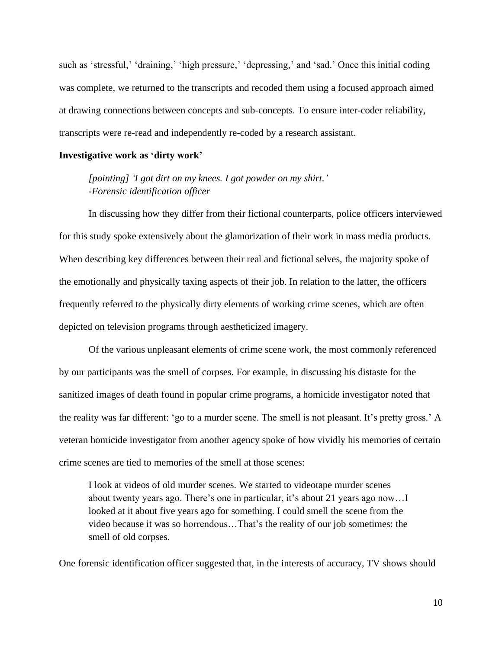such as 'stressful,' 'draining,' 'high pressure,' 'depressing,' and 'sad.' Once this initial coding was complete, we returned to the transcripts and recoded them using a focused approach aimed at drawing connections between concepts and sub-concepts. To ensure inter-coder reliability, transcripts were re-read and independently re-coded by a research assistant.

### **Investigative work as 'dirty work'**

*[pointing] 'I got dirt on my knees. I got powder on my shirt.' -Forensic identification officer*

In discussing how they differ from their fictional counterparts, police officers interviewed for this study spoke extensively about the glamorization of their work in mass media products. When describing key differences between their real and fictional selves, the majority spoke of the emotionally and physically taxing aspects of their job. In relation to the latter, the officers frequently referred to the physically dirty elements of working crime scenes, which are often depicted on television programs through aestheticized imagery.

Of the various unpleasant elements of crime scene work, the most commonly referenced by our participants was the smell of corpses. For example, in discussing his distaste for the sanitized images of death found in popular crime programs, a homicide investigator noted that the reality was far different: 'go to a murder scene. The smell is not pleasant. It's pretty gross.' A veteran homicide investigator from another agency spoke of how vividly his memories of certain crime scenes are tied to memories of the smell at those scenes:

I look at videos of old murder scenes. We started to videotape murder scenes about twenty years ago. There's one in particular, it's about 21 years ago now…I looked at it about five years ago for something. I could smell the scene from the video because it was so horrendous…That's the reality of our job sometimes: the smell of old corpses.

One forensic identification officer suggested that, in the interests of accuracy, TV shows should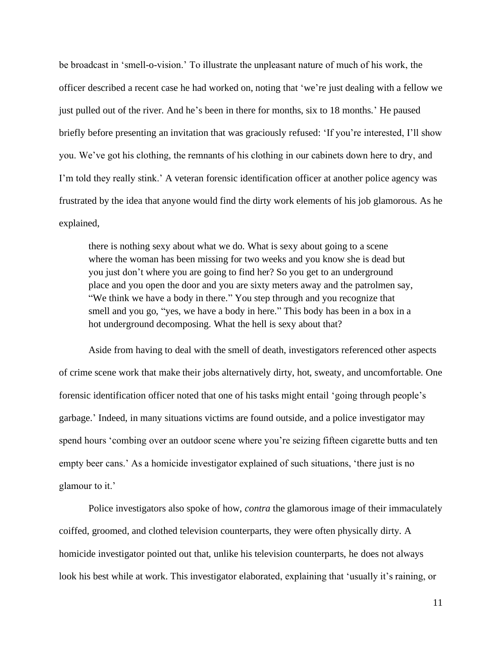be broadcast in 'smell-o-vision.' To illustrate the unpleasant nature of much of his work, the officer described a recent case he had worked on, noting that 'we're just dealing with a fellow we just pulled out of the river. And he's been in there for months, six to 18 months.' He paused briefly before presenting an invitation that was graciously refused: 'If you're interested, I'll show you. We've got his clothing, the remnants of his clothing in our cabinets down here to dry, and I'm told they really stink.' A veteran forensic identification officer at another police agency was frustrated by the idea that anyone would find the dirty work elements of his job glamorous. As he explained,

there is nothing sexy about what we do. What is sexy about going to a scene where the woman has been missing for two weeks and you know she is dead but you just don't where you are going to find her? So you get to an underground place and you open the door and you are sixty meters away and the patrolmen say, "We think we have a body in there." You step through and you recognize that smell and you go, "yes, we have a body in here." This body has been in a box in a hot underground decomposing. What the hell is sexy about that?

Aside from having to deal with the smell of death, investigators referenced other aspects of crime scene work that make their jobs alternatively dirty, hot, sweaty, and uncomfortable. One forensic identification officer noted that one of his tasks might entail 'going through people's garbage.' Indeed, in many situations victims are found outside, and a police investigator may spend hours 'combing over an outdoor scene where you're seizing fifteen cigarette butts and ten empty beer cans.' As a homicide investigator explained of such situations, 'there just is no glamour to it.'

Police investigators also spoke of how, *contra* the glamorous image of their immaculately coiffed, groomed, and clothed television counterparts, they were often physically dirty. A homicide investigator pointed out that, unlike his television counterparts, he does not always look his best while at work. This investigator elaborated, explaining that 'usually it's raining, or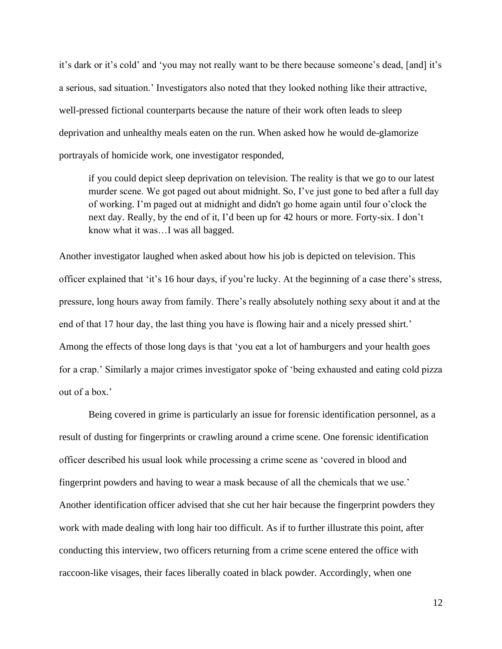it's dark or it's cold' and 'you may not really want to be there because someone's dead, [and] it's a serious, sad situation.' Investigators also noted that they looked nothing like their attractive, well-pressed fictional counterparts because the nature of their work often leads to sleep deprivation and unhealthy meals eaten on the run. When asked how he would de-glamorize portrayals of homicide work, one investigator responded,

if you could depict sleep deprivation on television. The reality is that we go to our latest murder scene. We got paged out about midnight. So, I've just gone to bed after a full day of working. I'm paged out at midnight and didn't go home again until four o'clock the next day. Really, by the end of it, I'd been up for 42 hours or more. Forty-six. I don't know what it was…I was all bagged.

Another investigator laughed when asked about how his job is depicted on television. This officer explained that 'it's 16 hour days, if you're lucky. At the beginning of a case there's stress, pressure, long hours away from family. There's really absolutely nothing sexy about it and at the end of that 17 hour day, the last thing you have is flowing hair and a nicely pressed shirt.' Among the effects of those long days is that 'you eat a lot of hamburgers and your health goes for a crap.' Similarly a major crimes investigator spoke of 'being exhausted and eating cold pizza out of a box.'

Being covered in grime is particularly an issue for forensic identification personnel, as a result of dusting for fingerprints or crawling around a crime scene. One forensic identification officer described his usual look while processing a crime scene as 'covered in blood and fingerprint powders and having to wear a mask because of all the chemicals that we use.' Another identification officer advised that she cut her hair because the fingerprint powders they work with made dealing with long hair too difficult. As if to further illustrate this point, after conducting this interview, two officers returning from a crime scene entered the office with raccoon-like visages, their faces liberally coated in black powder. Accordingly, when one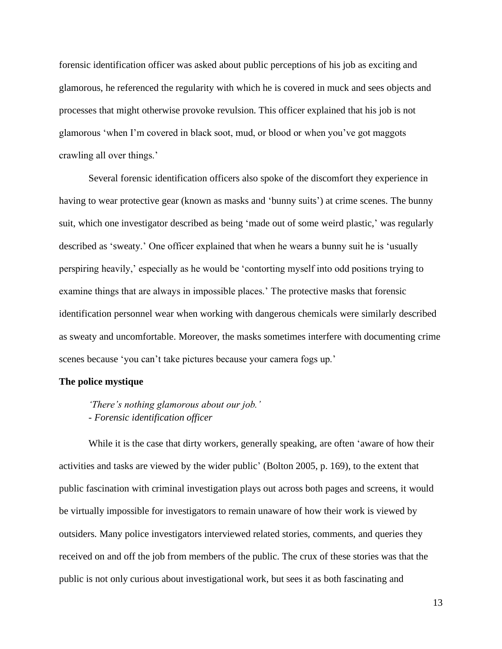forensic identification officer was asked about public perceptions of his job as exciting and glamorous, he referenced the regularity with which he is covered in muck and sees objects and processes that might otherwise provoke revulsion. This officer explained that his job is not glamorous 'when I'm covered in black soot, mud, or blood or when you've got maggots crawling all over things.'

Several forensic identification officers also spoke of the discomfort they experience in having to wear protective gear (known as masks and 'bunny suits') at crime scenes. The bunny suit, which one investigator described as being 'made out of some weird plastic,' was regularly described as 'sweaty.' One officer explained that when he wears a bunny suit he is 'usually perspiring heavily,' especially as he would be 'contorting myself into odd positions trying to examine things that are always in impossible places.' The protective masks that forensic identification personnel wear when working with dangerous chemicals were similarly described as sweaty and uncomfortable. Moreover, the masks sometimes interfere with documenting crime scenes because 'you can't take pictures because your camera fogs up.'

## **The police mystique**

*'There's nothing glamorous about our job.' - Forensic identification officer*

While it is the case that dirty workers, generally speaking, are often 'aware of how their activities and tasks are viewed by the wider public' (Bolton 2005, p. 169), to the extent that public fascination with criminal investigation plays out across both pages and screens, it would be virtually impossible for investigators to remain unaware of how their work is viewed by outsiders. Many police investigators interviewed related stories, comments, and queries they received on and off the job from members of the public. The crux of these stories was that the public is not only curious about investigational work, but sees it as both fascinating and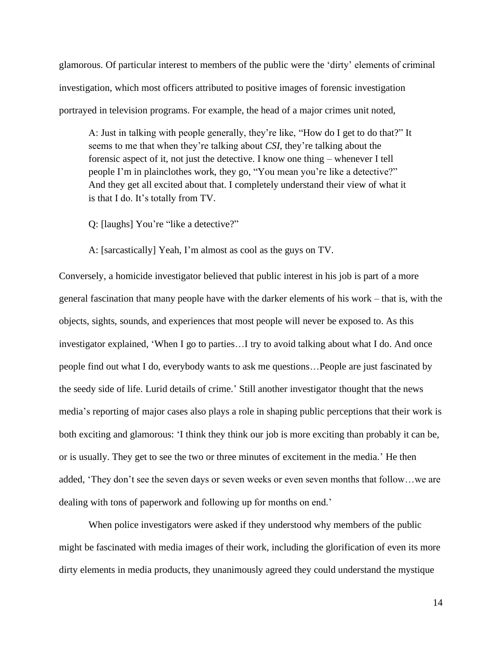glamorous. Of particular interest to members of the public were the 'dirty' elements of criminal investigation, which most officers attributed to positive images of forensic investigation portrayed in television programs. For example, the head of a major crimes unit noted,

A: Just in talking with people generally, they're like, "How do I get to do that?" It seems to me that when they're talking about *CSI*, they're talking about the forensic aspect of it, not just the detective. I know one thing – whenever I tell people I'm in plainclothes work, they go, "You mean you're like a detective?" And they get all excited about that. I completely understand their view of what it is that I do. It's totally from TV.

Q: [laughs] You're "like a detective?"

A: [sarcastically] Yeah, I'm almost as cool as the guys on TV.

Conversely, a homicide investigator believed that public interest in his job is part of a more general fascination that many people have with the darker elements of his work – that is, with the objects, sights, sounds, and experiences that most people will never be exposed to. As this investigator explained, 'When I go to parties…I try to avoid talking about what I do. And once people find out what I do, everybody wants to ask me questions…People are just fascinated by the seedy side of life. Lurid details of crime.' Still another investigator thought that the news media's reporting of major cases also plays a role in shaping public perceptions that their work is both exciting and glamorous: 'I think they think our job is more exciting than probably it can be, or is usually. They get to see the two or three minutes of excitement in the media.' He then added, 'They don't see the seven days or seven weeks or even seven months that follow…we are dealing with tons of paperwork and following up for months on end.'

When police investigators were asked if they understood why members of the public might be fascinated with media images of their work, including the glorification of even its more dirty elements in media products, they unanimously agreed they could understand the mystique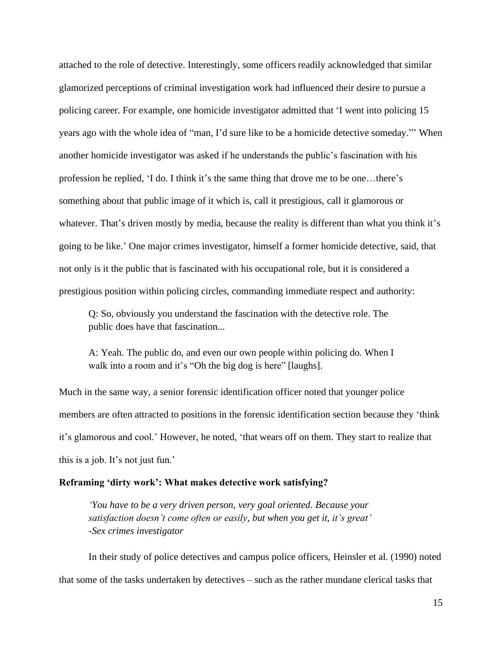attached to the role of detective. Interestingly, some officers readily acknowledged that similar glamorized perceptions of criminal investigation work had influenced their desire to pursue a policing career. For example, one homicide investigator admitted that 'I went into policing 15 years ago with the whole idea of "man, I'd sure like to be a homicide detective someday."' When another homicide investigator was asked if he understands the public's fascination with his profession he replied, 'I do. I think it's the same thing that drove me to be one…there's something about that public image of it which is, call it prestigious, call it glamorous or whatever. That's driven mostly by media, because the reality is different than what you think it's going to be like.' One major crimes investigator, himself a former homicide detective, said, that not only is it the public that is fascinated with his occupational role, but it is considered a prestigious position within policing circles, commanding immediate respect and authority:

Q: So, obviously you understand the fascination with the detective role. The public does have that fascination...

A: Yeah. The public do, and even our own people within policing do. When I walk into a room and it's "Oh the big dog is here" [laughs].

Much in the same way, a senior forensic identification officer noted that younger police members are often attracted to positions in the forensic identification section because they 'think it's glamorous and cool.' However, he noted, 'that wears off on them. They start to realize that this is a job. It's not just fun.'

## **Reframing 'dirty work': What makes detective work satisfying?**

*'You have to be a very driven person, very goal oriented. Because your satisfaction doesn't come often or easily, but when you get it, it's great' -Sex crimes investigator*

In their study of police detectives and campus police officers, Heinsler et al. (1990) noted that some of the tasks undertaken by detectives – such as the rather mundane clerical tasks that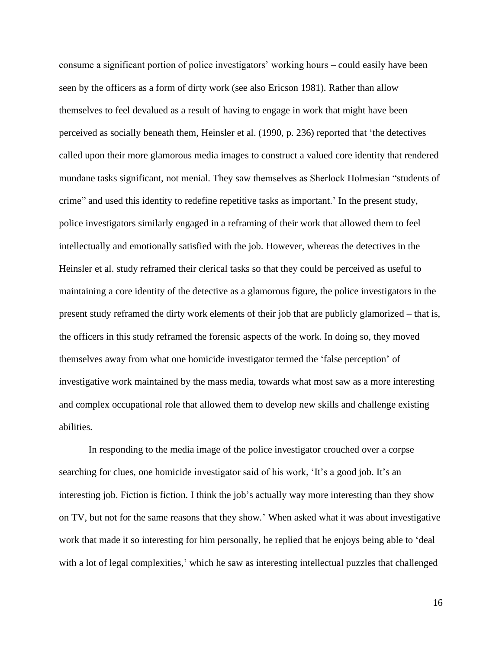consume a significant portion of police investigators' working hours – could easily have been seen by the officers as a form of dirty work (see also Ericson 1981). Rather than allow themselves to feel devalued as a result of having to engage in work that might have been perceived as socially beneath them, Heinsler et al. (1990, p. 236) reported that 'the detectives called upon their more glamorous media images to construct a valued core identity that rendered mundane tasks significant, not menial. They saw themselves as Sherlock Holmesian "students of crime" and used this identity to redefine repetitive tasks as important.' In the present study, police investigators similarly engaged in a reframing of their work that allowed them to feel intellectually and emotionally satisfied with the job. However, whereas the detectives in the Heinsler et al. study reframed their clerical tasks so that they could be perceived as useful to maintaining a core identity of the detective as a glamorous figure, the police investigators in the present study reframed the dirty work elements of their job that are publicly glamorized – that is, the officers in this study reframed the forensic aspects of the work. In doing so, they moved themselves away from what one homicide investigator termed the 'false perception' of investigative work maintained by the mass media, towards what most saw as a more interesting and complex occupational role that allowed them to develop new skills and challenge existing abilities.

In responding to the media image of the police investigator crouched over a corpse searching for clues, one homicide investigator said of his work, 'It's a good job. It's an interesting job. Fiction is fiction. I think the job's actually way more interesting than they show on TV, but not for the same reasons that they show.' When asked what it was about investigative work that made it so interesting for him personally, he replied that he enjoys being able to 'deal with a lot of legal complexities,' which he saw as interesting intellectual puzzles that challenged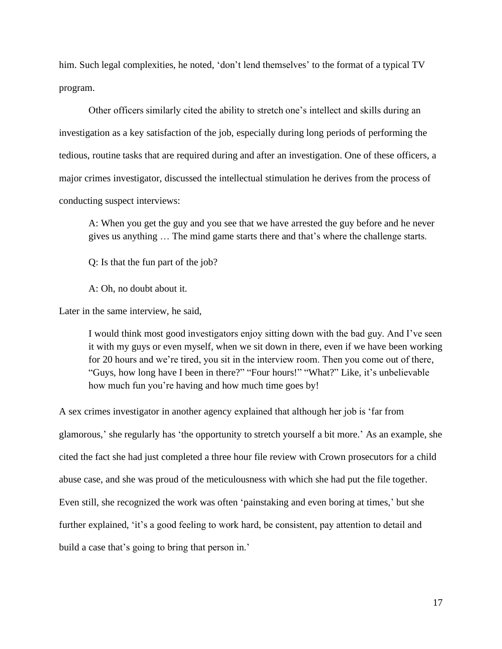him. Such legal complexities, he noted, 'don't lend themselves' to the format of a typical TV program.

Other officers similarly cited the ability to stretch one's intellect and skills during an investigation as a key satisfaction of the job, especially during long periods of performing the tedious, routine tasks that are required during and after an investigation. One of these officers, a major crimes investigator, discussed the intellectual stimulation he derives from the process of conducting suspect interviews:

A: When you get the guy and you see that we have arrested the guy before and he never gives us anything … The mind game starts there and that's where the challenge starts.

Q: Is that the fun part of the job?

A: Oh, no doubt about it.

Later in the same interview, he said,

I would think most good investigators enjoy sitting down with the bad guy. And I've seen it with my guys or even myself, when we sit down in there, even if we have been working for 20 hours and we're tired, you sit in the interview room. Then you come out of there, "Guys, how long have I been in there?" "Four hours!" "What?" Like, it's unbelievable how much fun you're having and how much time goes by!

A sex crimes investigator in another agency explained that although her job is 'far from glamorous,' she regularly has 'the opportunity to stretch yourself a bit more.' As an example, she cited the fact she had just completed a three hour file review with Crown prosecutors for a child abuse case, and she was proud of the meticulousness with which she had put the file together. Even still, she recognized the work was often 'painstaking and even boring at times,' but she further explained, 'it's a good feeling to work hard, be consistent, pay attention to detail and build a case that's going to bring that person in.'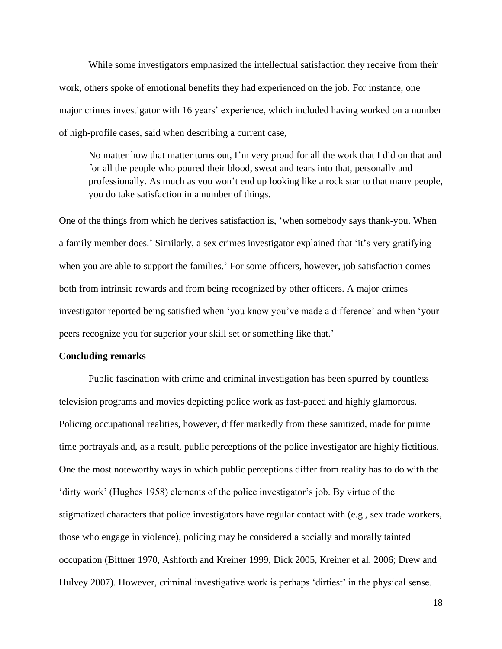While some investigators emphasized the intellectual satisfaction they receive from their work, others spoke of emotional benefits they had experienced on the job. For instance, one major crimes investigator with 16 years' experience, which included having worked on a number of high-profile cases, said when describing a current case,

No matter how that matter turns out, I'm very proud for all the work that I did on that and for all the people who poured their blood, sweat and tears into that, personally and professionally. As much as you won't end up looking like a rock star to that many people, you do take satisfaction in a number of things.

One of the things from which he derives satisfaction is, 'when somebody says thank-you. When a family member does.' Similarly, a sex crimes investigator explained that 'it's very gratifying when you are able to support the families.' For some officers, however, job satisfaction comes both from intrinsic rewards and from being recognized by other officers. A major crimes investigator reported being satisfied when 'you know you've made a difference' and when 'your peers recognize you for superior your skill set or something like that.'

## **Concluding remarks**

Public fascination with crime and criminal investigation has been spurred by countless television programs and movies depicting police work as fast-paced and highly glamorous. Policing occupational realities, however, differ markedly from these sanitized, made for prime time portrayals and, as a result, public perceptions of the police investigator are highly fictitious. One the most noteworthy ways in which public perceptions differ from reality has to do with the 'dirty work' (Hughes 1958) elements of the police investigator's job. By virtue of the stigmatized characters that police investigators have regular contact with (e.g., sex trade workers, those who engage in violence), policing may be considered a socially and morally tainted occupation (Bittner 1970, Ashforth and Kreiner 1999, Dick 2005, Kreiner et al. 2006; Drew and Hulvey 2007). However, criminal investigative work is perhaps 'dirtiest' in the physical sense.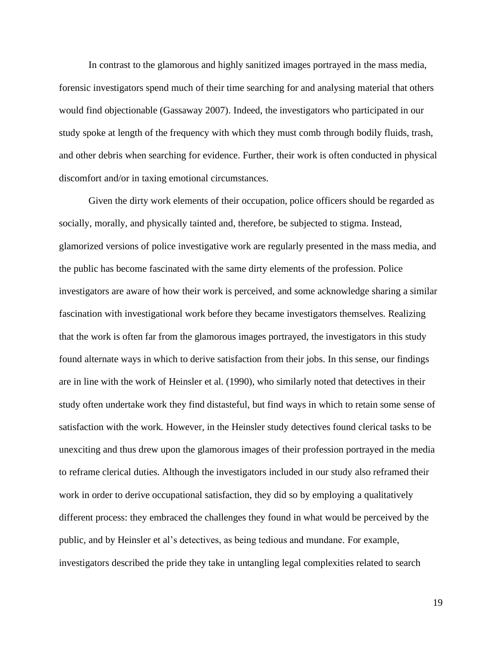In contrast to the glamorous and highly sanitized images portrayed in the mass media, forensic investigators spend much of their time searching for and analysing material that others would find objectionable (Gassaway 2007). Indeed, the investigators who participated in our study spoke at length of the frequency with which they must comb through bodily fluids, trash, and other debris when searching for evidence. Further, their work is often conducted in physical discomfort and/or in taxing emotional circumstances.

Given the dirty work elements of their occupation, police officers should be regarded as socially, morally, and physically tainted and, therefore, be subjected to stigma. Instead, glamorized versions of police investigative work are regularly presented in the mass media, and the public has become fascinated with the same dirty elements of the profession. Police investigators are aware of how their work is perceived, and some acknowledge sharing a similar fascination with investigational work before they became investigators themselves. Realizing that the work is often far from the glamorous images portrayed, the investigators in this study found alternate ways in which to derive satisfaction from their jobs. In this sense, our findings are in line with the work of Heinsler et al. (1990), who similarly noted that detectives in their study often undertake work they find distasteful, but find ways in which to retain some sense of satisfaction with the work. However, in the Heinsler study detectives found clerical tasks to be unexciting and thus drew upon the glamorous images of their profession portrayed in the media to reframe clerical duties. Although the investigators included in our study also reframed their work in order to derive occupational satisfaction, they did so by employing a qualitatively different process: they embraced the challenges they found in what would be perceived by the public, and by Heinsler et al's detectives, as being tedious and mundane. For example, investigators described the pride they take in untangling legal complexities related to search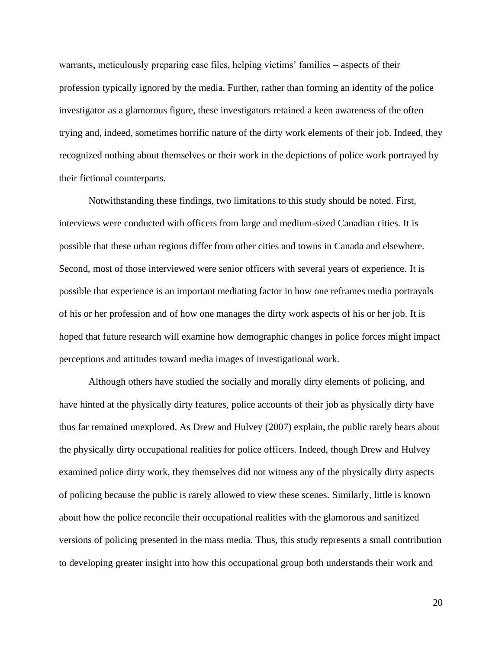warrants, meticulously preparing case files, helping victims' families – aspects of their profession typically ignored by the media. Further, rather than forming an identity of the police investigator as a glamorous figure, these investigators retained a keen awareness of the often trying and, indeed, sometimes horrific nature of the dirty work elements of their job. Indeed, they recognized nothing about themselves or their work in the depictions of police work portrayed by their fictional counterparts.

Notwithstanding these findings, two limitations to this study should be noted. First, interviews were conducted with officers from large and medium-sized Canadian cities. It is possible that these urban regions differ from other cities and towns in Canada and elsewhere. Second, most of those interviewed were senior officers with several years of experience. It is possible that experience is an important mediating factor in how one reframes media portrayals of his or her profession and of how one manages the dirty work aspects of his or her job. It is hoped that future research will examine how demographic changes in police forces might impact perceptions and attitudes toward media images of investigational work.

Although others have studied the socially and morally dirty elements of policing, and have hinted at the physically dirty features, police accounts of their job as physically dirty have thus far remained unexplored. As Drew and Hulvey (2007) explain, the public rarely hears about the physically dirty occupational realities for police officers. Indeed, though Drew and Hulvey examined police dirty work, they themselves did not witness any of the physically dirty aspects of policing because the public is rarely allowed to view these scenes. Similarly, little is known about how the police reconcile their occupational realities with the glamorous and sanitized versions of policing presented in the mass media. Thus, this study represents a small contribution to developing greater insight into how this occupational group both understands their work and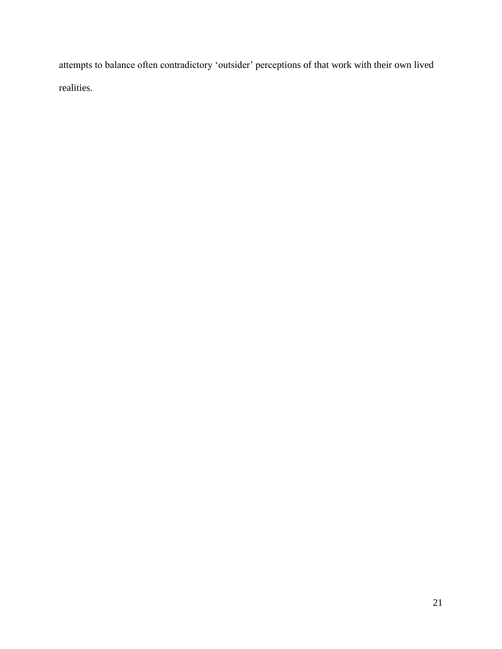attempts to balance often contradictory 'outsider' perceptions of that work with their own lived realities.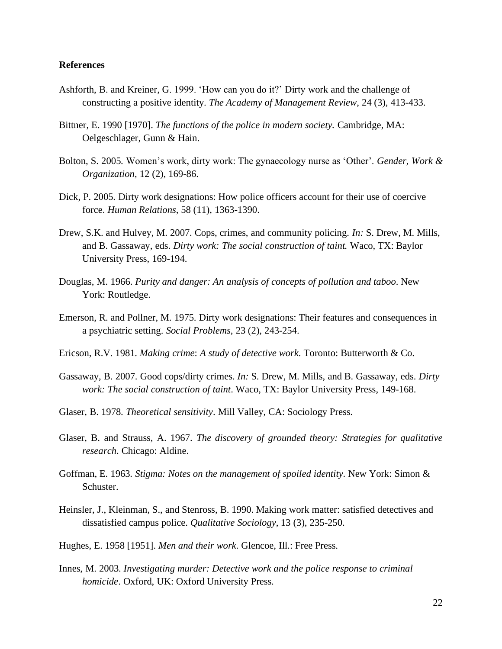## **References**

- Ashforth, B. and Kreiner, G. 1999. 'How can you do it?' Dirty work and the challenge of constructing a positive identity. *The Academy of Management Review*, 24 (3), 413-433.
- Bittner, E. 1990 [1970]. *The functions of the police in modern society.* Cambridge, MA: Oelgeschlager, Gunn & Hain.
- Bolton, S. 2005. Women's work, dirty work: The gynaecology nurse as 'Other'. *Gender, Work & Organization*, 12 (2), 169-86.
- Dick, P. 2005. Dirty work designations: How police officers account for their use of coercive force. *Human Relations*, 58 (11), 1363-1390.
- Drew, S.K. and Hulvey, M. 2007. Cops, crimes, and community policing. *In:* S. Drew, M. Mills, and B. Gassaway, eds. *Dirty work: The social construction of taint.* Waco, TX: Baylor University Press, 169-194.
- Douglas, M. 1966. *Purity and danger: An analysis of concepts of pollution and taboo*. New York: Routledge.
- Emerson, R. and Pollner, M. 1975. Dirty work designations: Their features and consequences in a psychiatric setting. *Social Problems*, 23 (2), 243-254.
- Ericson, R.V. 1981. *Making crime*: *A study of detective work*. Toronto: Butterworth & Co.
- Gassaway, B. 2007. Good cops/dirty crimes. *In:* S. Drew, M. Mills, and B. Gassaway, eds. *Dirty work: The social construction of taint*. Waco, TX: Baylor University Press, 149-168.
- Glaser, B. 1978. *Theoretical sensitivity*. Mill Valley, CA: Sociology Press.
- Glaser, B. and Strauss, A. 1967. *The discovery of grounded theory: Strategies for qualitative research*. Chicago: Aldine.
- Goffman, E. 1963. *Stigma: Notes on the management of spoiled identity*. New York: Simon & Schuster.
- Heinsler, J., Kleinman, S., and Stenross, B. 1990. Making work matter: satisfied detectives and dissatisfied campus police. *Qualitative Sociology*, 13 (3), 235-250.
- Hughes, E. 1958 [1951]. *Men and their work*. Glencoe, Ill.: Free Press.
- Innes, M. 2003. *Investigating murder: Detective work and the police response to criminal homicide*. Oxford, UK: Oxford University Press.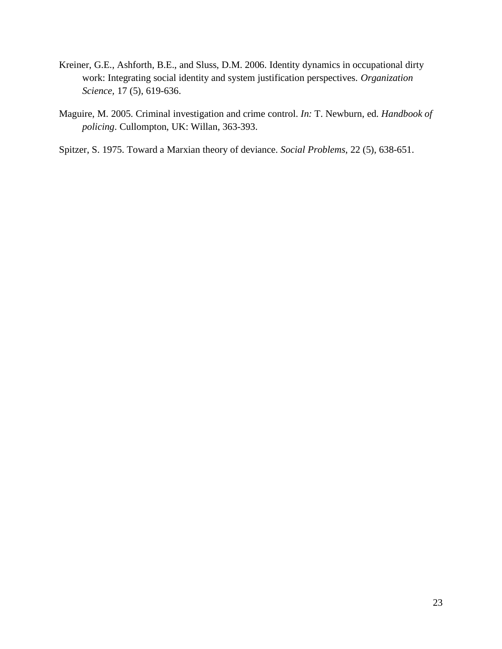- Kreiner, G.E., Ashforth, B.E., and Sluss, D.M. 2006. Identity dynamics in occupational dirty work: Integrating social identity and system justification perspectives. *Organization Science,* 17 (5), 619-636.
- Maguire, M. 2005. Criminal investigation and crime control. *In:* T. Newburn, ed. *Handbook of policing*. Cullompton, UK: Willan, 363-393.
- Spitzer, S. 1975. Toward a Marxian theory of deviance. *Social Problems*, 22 (5), 638-651.